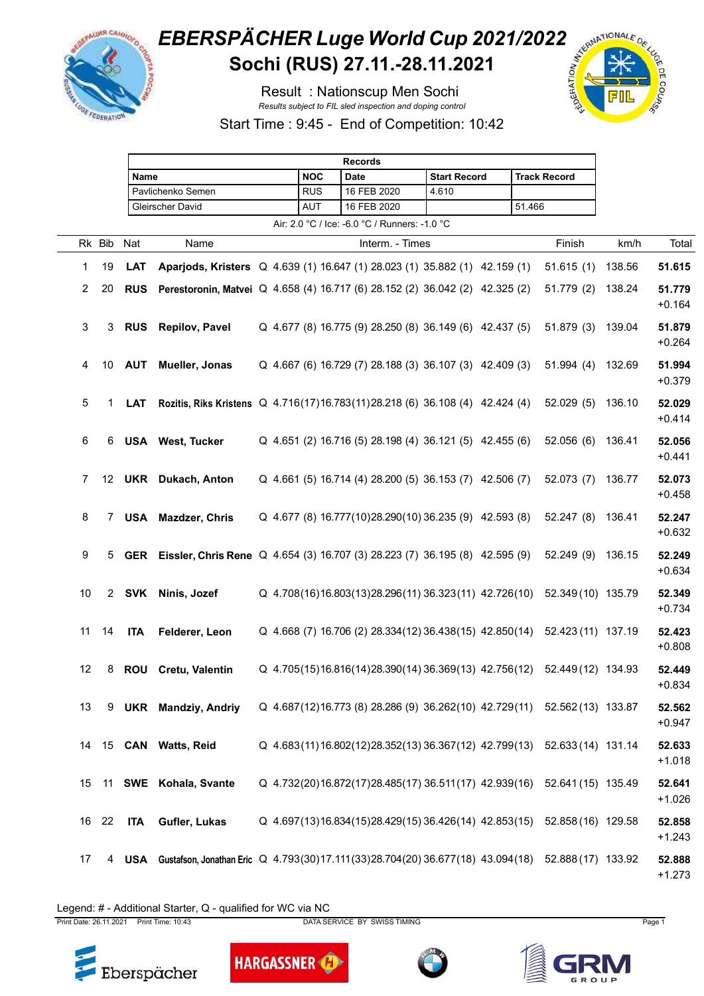

## **EBERSPÄCHER Luge World Cup 2021/2022**<br>Sochi (RUS) 27.11.-28.11.2021 **Sochi (RUS) 27.11.-28.11.2021**

Result : Nationscup Men Sochi *Results subject to FIL sled inspection and doping control*



Start Time : 9:45 - End of Competition: 10:42

|                |            |             |            |                                                                                                      |  |            | <b>Records</b>                                |                                                            |        |                                                                          |        |                    |
|----------------|------------|-------------|------------|------------------------------------------------------------------------------------------------------|--|------------|-----------------------------------------------|------------------------------------------------------------|--------|--------------------------------------------------------------------------|--------|--------------------|
|                |            |             | Name       |                                                                                                      |  | <b>NOC</b> | <b>Date</b>                                   | <b>Start Record</b>                                        |        | <b>Track Record</b>                                                      |        |                    |
|                |            |             |            | Pavlichenko Semen                                                                                    |  | <b>RUS</b> | 16 FEB 2020                                   | 4.610                                                      |        |                                                                          |        |                    |
|                |            |             |            | Gleirscher David                                                                                     |  | AUT        | 16 FEB 2020                                   |                                                            | 51.466 |                                                                          |        |                    |
|                |            |             |            |                                                                                                      |  |            | Air: 2.0 °C / Ice: -6.0 °C / Runners: -1.0 °C |                                                            |        |                                                                          |        |                    |
|                | Rk Bib Nat |             |            | Name                                                                                                 |  |            | Interm. - Times                               |                                                            |        | Finish                                                                   | km/h   | Total              |
| 1              | 19         |             | <b>LAT</b> | Aparjods, Kristers Q 4.639 (1) 16.647 (1) 28.023 (1) 35.882 (1) 42.159 (1)                           |  |            |                                               |                                                            |        | 51.615(1)                                                                | 138.56 | 51.615             |
| $\overline{2}$ | 20         |             | <b>RUS</b> | Perestoronin, Matvei Q 4.658 (4) 16.717 (6) 28.152 (2) 36.042 (2) 42.325 (2)                         |  |            |                                               |                                                            |        | 51.779 (2)                                                               | 138.24 | 51.779<br>$+0.164$ |
| 3              |            | 3           | <b>RUS</b> | <b>Repilov, Pavel</b>                                                                                |  |            |                                               | Q 4.677 (8) 16.775 (9) 28.250 (8) 36.149 (6) 42.437 (5)    |        | 51.879(3)                                                                | 139.04 | 51.879<br>$+0.264$ |
| 4              | 10         |             |            | <b>AUT</b> Mueller, Jonas                                                                            |  |            |                                               | Q 4.667 (6) 16.729 (7) 28.188 (3) 36.107 (3) 42.409 (3)    |        | 51.994(4)                                                                | 132.69 | 51.994<br>$+0.379$ |
| 5              |            | 1           | <b>LAT</b> | Rozitis, Riks Kristens Q 4.716(17)16.783(11)28.218 (6) 36.108 (4) 42.424 (4)                         |  |            |                                               |                                                            |        | 52.029(5)                                                                | 136.10 | 52.029<br>$+0.414$ |
| 6              |            | 6.          |            | <b>USA</b> West, Tucker                                                                              |  |            |                                               | Q 4.651 (2) 16.716 (5) 28.198 (4) 36.121 (5) 42.455 (6)    |        | 52.056(6)                                                                | 136.41 | 52.056<br>$+0.441$ |
| 7              |            |             |            | 12 UKR Dukach, Anton                                                                                 |  |            |                                               | Q 4.661 (5) 16.714 (4) 28.200 (5) 36.153 (7) 42.506 (7)    |        | 52.073(7)                                                                | 136.77 | 52.073<br>$+0.458$ |
| 8              |            | $7^{\circ}$ |            | <b>USA</b> Mazdzer, Chris                                                                            |  |            |                                               | Q 4.677 (8) 16.777 (10) 28.290 (10) 36.235 (9) 42.593 (8)  |        | 52.247(8)                                                                | 136.41 | 52.247<br>$+0.632$ |
| 9              |            | 5           |            | GER Eissler, Chris Rene Q 4.654 (3) 16.707 (3) 28.223 (7) 36.195 (8) 42.595 (9)                      |  |            |                                               |                                                            |        | 52.249(9)                                                                | 136.15 | 52.249<br>$+0.634$ |
| 10             |            |             |            | 2 SVK Ninis, Jozef                                                                                   |  |            |                                               | Q 4.708(16)16.803(13)28.296(11) 36.323(11) 42.726(10)      |        | 52.349 (10) 135.79                                                       |        | 52.349<br>$+0.734$ |
| 11             | 14         |             | ITA        | Felderer, Leon                                                                                       |  |            |                                               | Q 4.668 (7) 16.706 (2) 28.334 (12) 36.438 (15) 42.850 (14) |        | 52.423 (11) 137.19                                                       |        | 52.423<br>$+0.808$ |
| 12             |            | 8           |            | <b>ROU</b> Cretu, Valentin                                                                           |  |            |                                               | Q 4.705(15)16.816(14)28.390(14)36.369(13) 42.756(12)       |        | 52.449 (12) 134.93                                                       |        | 52.449<br>$+0.834$ |
| 13             |            | 9           |            | <b>UKR</b> Mandziy, Andriy                                                                           |  |            |                                               |                                                            |        | Q 4.687(12)16.773 (8) 28.286 (9) 36.262(10) 42.729(11) 52.562(13) 133.87 |        | 52.562<br>$+0.947$ |
| 14             |            |             |            | 15 CAN Watts, Reid                                                                                   |  |            |                                               | Q 4.683(11)16.802(12)28.352(13)36.367(12) 42.799(13)       |        | 52.633 (14) 131.14                                                       |        | 52.633<br>$+1.018$ |
| 15             |            |             |            | 11 SWE Kohala, Svante                                                                                |  |            |                                               | Q 4.732(20)16.872(17)28.485(17) 36.511(17) 42.939(16)      |        | 52.641 (15) 135.49                                                       |        | 52.641<br>$+1.026$ |
|                | 16 22      |             | <b>ITA</b> | Gufler, Lukas                                                                                        |  |            |                                               | Q 4.697(13)16.834(15)28.429(15)36.426(14) 42.853(15)       |        | 52.858 (16) 129.58                                                       |        | 52.858<br>$+1.243$ |
| 17             |            | 4           |            | USA Gustafson, Jonathan Eric Q 4.793(30)17.111(33)28.704(20) 36.677(18) 43.094(18) 52.888(17) 133.92 |  |            |                                               |                                                            |        |                                                                          |        | 52.888<br>$+1.273$ |

Legend: # - Additional Starter, Q - qualified for WC via NC

Print Date: 26.11.2021 Print Time: 10:43 DATA SERVICE BY SWISS TIMING Page 1





**HARGASSNER** 



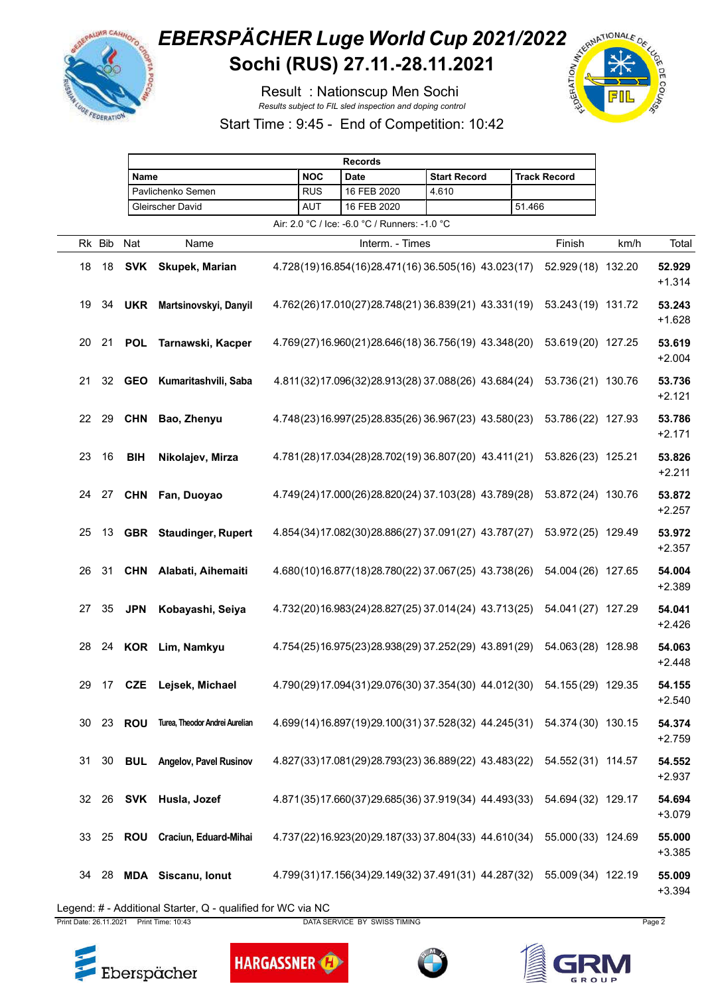

## **EBERSPÄCHER Luge World Cup 2021/2022**<br>Sochi (RUS) 27.11.-28.11.2021 **Sochi (RUS) 27.11.-28.11.2021**

Result : Nationscup Men Sochi *Results subject to FIL sled inspection and doping control*



Start Time : 9:45 - End of Competition: 10:42

|    |        |            | <b>Records</b>                 |  |            |                                                                        |                     |        |                     |      |                    |
|----|--------|------------|--------------------------------|--|------------|------------------------------------------------------------------------|---------------------|--------|---------------------|------|--------------------|
|    |        |            | <b>Name</b>                    |  |            | <b>Date</b>                                                            | <b>Start Record</b> |        | <b>Track Record</b> |      |                    |
|    |        |            | Pavlichenko Semen              |  | <b>RUS</b> | 16 FEB 2020                                                            | 4.610               |        |                     |      |                    |
|    |        |            | Gleirscher David               |  | <b>AUT</b> | 16 FEB 2020                                                            |                     | 51.466 |                     |      |                    |
|    |        |            |                                |  |            | Air: 2.0 °C / Ice: -6.0 °C / Runners: -1.0 °C                          |                     |        |                     |      |                    |
|    | Rk Bib | Nat        | Name                           |  |            | Interm. - Times                                                        |                     |        | Finish              | km/h | Total              |
| 18 | 18     | SVK        | Skupek, Marian                 |  |            | 4.728(19)16.854(16)28.471(16)36.505(16) 43.023(17)                     |                     |        | 52.929 (18) 132.20  |      | 52.929<br>$+1.314$ |
| 19 | 34     | <b>UKR</b> | Martsinovskyi, Danyil          |  |            | 4.762(26)17.010(27)28.748(21)36.839(21) 43.331(19)                     |                     |        | 53.243 (19) 131.72  |      | 53.243<br>$+1.628$ |
| 20 | 21     | <b>POL</b> | Tarnawski, Kacper              |  |            | 4.769(27)16.960(21)28.646(18)36.756(19)43.348(20)                      |                     |        | 53.619 (20) 127.25  |      | 53.619<br>$+2.004$ |
| 21 | 32     | <b>GEO</b> | Kumaritashvili, Saba           |  |            | 4.811(32)17.096(32)28.913(28) 37.088(26) 43.684(24)                    |                     |        | 53.736 (21) 130.76  |      | 53.736<br>$+2.121$ |
| 22 | 29     | <b>CHN</b> | Bao, Zhenyu                    |  |            | 4.748(23)16.997(25)28.835(26)36.967(23)43.580(23)                      |                     |        | 53.786 (22) 127.93  |      | 53.786<br>$+2.171$ |
| 23 | 16     | <b>BIH</b> | Nikolajev, Mirza               |  |            | 4.781(28)17.034(28)28.702(19)36.807(20) 43.411(21)                     |                     |        | 53.826 (23) 125.21  |      | 53.826<br>$+2.211$ |
| 24 | 27     | <b>CHN</b> | Fan, Duoyao                    |  |            | 4.749(24)17.000(26)28.820(24) 37.103(28) 43.789(28)                    |                     |        | 53.872 (24) 130.76  |      | 53.872<br>$+2.257$ |
| 25 | 13     |            | <b>GBR</b> Staudinger, Rupert  |  |            | 4.854(34)17.082(30)28.886(27) 37.091(27) 43.787(27)                    |                     |        | 53.972 (25) 129.49  |      | 53.972<br>$+2.357$ |
| 26 | 31     | <b>CHN</b> | Alabati, Aihemaiti             |  |            | 4.680(10)16.877(18)28.780(22) 37.067(25) 43.738(26)                    |                     |        | 54.004 (26) 127.65  |      | 54.004<br>$+2.389$ |
| 27 | 35     | <b>JPN</b> | Kobayashi, Seiya               |  |            | 4.732(20)16.983(24)28.827(25)37.014(24) 43.713(25)                     |                     |        | 54.041 (27) 127.29  |      | 54.041<br>$+2.426$ |
| 28 | 24     |            | KOR Lim, Namkyu                |  |            | 4.754(25)16.975(23)28.938(29)37.252(29)43.891(29)                      |                     |        | 54.063 (28) 128.98  |      | 54.063<br>$+2.448$ |
| 29 | 17     |            | CZE Lejsek, Michael            |  |            | 4.790(29)17.094(31)29.076(30) 37.354(30) 44.012(30) 54.155(29) 129.35  |                     |        |                     |      | 54.155<br>$+2.540$ |
| 30 | 23     | <b>ROU</b> | Turea, Theodor Andrei Aurelian |  |            | 4.699(14)16.897(19)29.100(31) 37.528(32) 44.245(31) 54.374(30) 130.15  |                     |        |                     |      | 54.374<br>$+2.759$ |
| 31 |        |            | 30 BUL Angelov, Pavel Rusinov  |  |            | 4.827(33)17.081(29)28.793(23)36.889(22) 43.483(22) 54.552(31) 114.57   |                     |        |                     |      | 54.552<br>$+2.937$ |
|    |        |            | 32 26 SVK Husla, Jozef         |  |            | 4.871(35)17.660(37)29.685(36) 37.919(34) 44.493(33) 54.694 (32) 129.17 |                     |        |                     |      | 54.694<br>$+3.079$ |
| 33 |        |            | 25 ROU Craciun, Eduard-Mihai   |  |            | 4.737(22)16.923(20)29.187(33) 37.804(33) 44.610(34)                    |                     |        | 55.000 (33) 124.69  |      | 55.000<br>$+3.385$ |
| 34 | 28     |            | <b>MDA</b> Siscanu, Ionut      |  |            | 4.799(31)17.156(34)29.149(32) 37.491(31) 44.287(32) 55.009(34) 122.19  |                     |        |                     |      | 55.009<br>$+3.394$ |

Legend: # - Additional Starter, Q - qualified for WC via NC

Print Date: 26.11.2021 Print Time: 10:43 DATA SERVICE BY SWISS TIMING Page 2